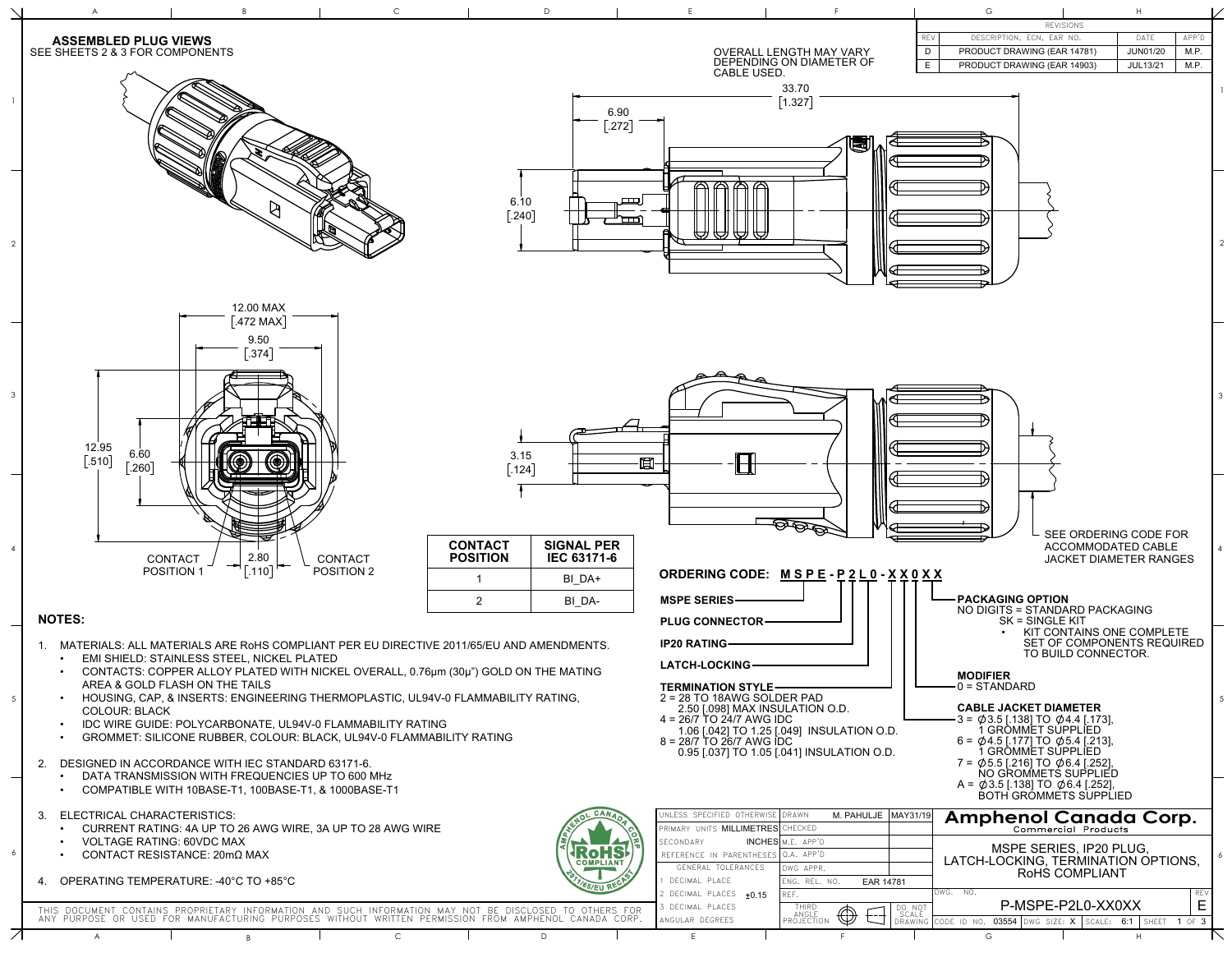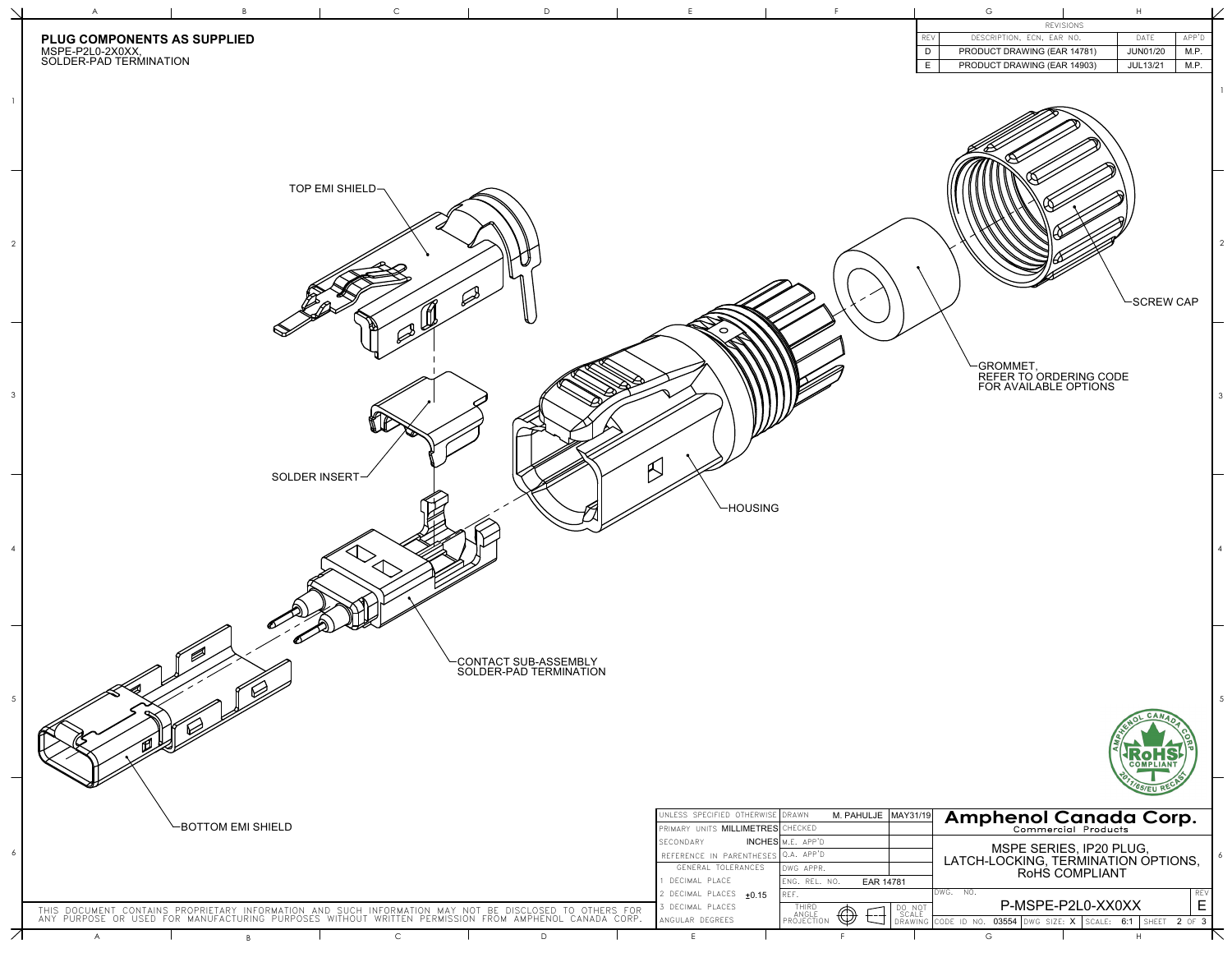